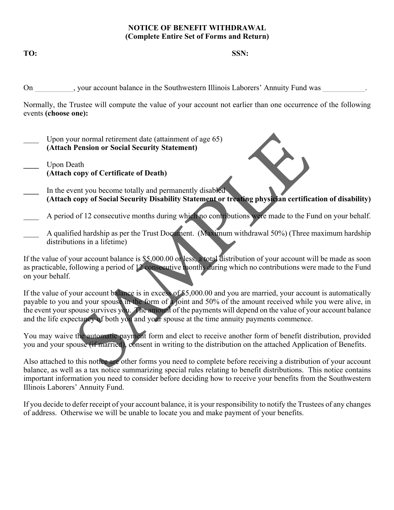#### **NOTICE OF BENEFIT WITHDRAWAL (Complete Entire Set of Forms and Return)**

**TO: SSN:** 

On state over the Southwestern Illinois Laborers' Annuity Fund was  $\overline{\phantom{a}}$ 

Normally, the Trustee will compute the value of your account not earlier than one occurrence of the following events **(choose one):**

- Upon your normal retirement date (attainment of age 65) **(Attach Pension or Social Security Statement)**
- **\_\_\_\_** Upon Death **(Attach copy of Certificate of Death)**
- In the event you become totally and permanently disabled **(Attach copy of Social Security Disability Statement or treating physician certification of disability)**

A period of 12 consecutive months during which no contributions were made to the Fund on your behalf.

A qualified hardship as per the Trust Document. (Maximum withdrawal 50%) (Three maximum hardship distributions in a lifetime)

If the value of your account balance is \$5,000.00 or less, a total distribution of your account will be made as soon as practicable, following a period of 12 consecutive months during which no contributions were made to the Fund on your behalf.

If the value of your account balance is in excess of \$5,000.00 and you are married, your account is automatically payable to you and your spouse in the form of a joint and 50% of the amount received while you were alive, in the event your spouse survives you. The amount of the payments will depend on the value of your account balance and the life expectancy of both you and your spouse at the time annuity payments commence. our normal retirement date (attainment of age 65)<br>
Pension or Social Security Statement)<br>
eath<br>
copy of Certificate of Death)<br>
eath<br>
copy of Certificate of Death)<br>
copy of Social Security Disability Statement or treating p

You may waive the automatic payment form and elect to receive another form of benefit distribution, provided you and your spouse (if married), consent in writing to the distribution on the attached Application of Benefits.

Also attached to this notice are other forms you need to complete before receiving a distribution of your account balance, as well as a tax notice summarizing special rules relating to benefit distributions. This notice contains important information you need to consider before deciding how to receive your benefits from the Southwestern Illinois Laborers' Annuity Fund.

If you decide to defer receipt of your account balance, it is your responsibility to notify the Trustees of any changes of address. Otherwise we will be unable to locate you and make payment of your benefits.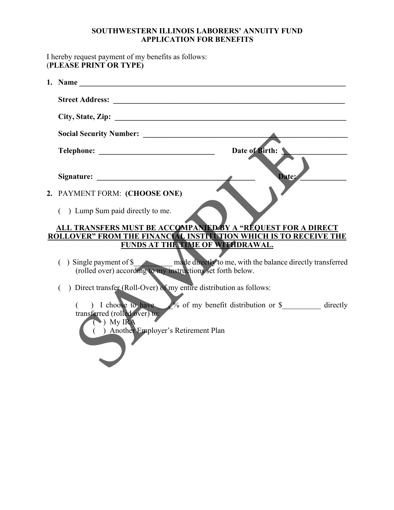## **SOUTHWESTERN ILLINOIS LABORERS' ANNUITY FUND APPLICATION FOR BENEFITS**

I hereby request payment of my benefits as follows: (**PLEASE PRINT OR TYPE)** 

| Date of Birth:                                                                                                                                               |
|--------------------------------------------------------------------------------------------------------------------------------------------------------------|
| <b>Date:</b>                                                                                                                                                 |
| 2. PAYMENT FORM: (CHOOSE ONE)                                                                                                                                |
| ) Lump Sum paid directly to me.                                                                                                                              |
| ALL TRANSFERS MUST BE ACCOMPANIED BY A "REQUEST FOR A DIRECT                                                                                                 |
| ROLLOVER" FROM THE FINANCIAL INSTITUTION WHICH IS TO RECEIVE THE                                                                                             |
| FUNDS AT THE TIME OF WITHDRAWAL.                                                                                                                             |
| () Single payment of \$<br>(rolled over) according to my instructions set forth below.                                                                       |
| ) Direct transfer (Roll-Over) of my entire distribution as follows:                                                                                          |
| ) I choose to have v of my benefit distribution or \$ directly<br>transferred (rolled over) to:<br>$\bigcirc$ My IRA<br>) Another Employer's Retirement Plan |
|                                                                                                                                                              |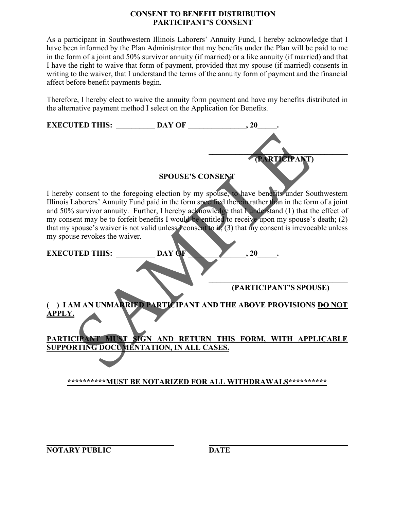### **CONSENT TO BENEFIT DISTRIBUTION PARTICIPANT'S CONSENT**

As a participant in Southwestern Illinois Laborers' Annuity Fund, I hereby acknowledge that I have been informed by the Plan Administrator that my benefits under the Plan will be paid to me in the form of a joint and 50% survivor annuity (if married) or a like annuity (if married) and that I have the right to waive that form of payment, provided that my spouse (if married) consents in writing to the waiver, that I understand the terms of the annuity form of payment and the financial affect before benefit payments begin.

Therefore, I hereby elect to waive the annuity form payment and have my benefits distributed in the alternative payment method I select on the Application for Benefits.

| <b>EXECUTED THIS:</b>                                                                                                                                                                                | <b>DAY OF</b>                                             | .20                    |  |
|------------------------------------------------------------------------------------------------------------------------------------------------------------------------------------------------------|-----------------------------------------------------------|------------------------|--|
|                                                                                                                                                                                                      |                                                           |                        |  |
|                                                                                                                                                                                                      |                                                           |                        |  |
|                                                                                                                                                                                                      |                                                           | (PARTICIPANT)          |  |
|                                                                                                                                                                                                      | <b>SPOUSE'S CONSENT</b>                                   |                        |  |
|                                                                                                                                                                                                      |                                                           |                        |  |
| I hereby consent to the foregoing election by my spouse, to have benefits under Southwestern                                                                                                         |                                                           |                        |  |
| Illinois Laborers' Annuity Fund paid in the form specified therein rather than in the form of a joint                                                                                                |                                                           |                        |  |
| and 50% survivor annuity. Further, I hereby acknowledge that I understand (1) that the effect of<br>my consent may be to forfeit benefits I would be entitled to receive upon my spouse's death; (2) |                                                           |                        |  |
| that my spouse's waiver is not valid unless $\Gamma$ consent to it, (3) that my consent is irrevocable unless                                                                                        |                                                           |                        |  |
| my spouse revokes the waiver.                                                                                                                                                                        |                                                           |                        |  |
| <b>EXECUTED THIS:</b>                                                                                                                                                                                | DAY OF                                                    | , 20                   |  |
|                                                                                                                                                                                                      |                                                           |                        |  |
|                                                                                                                                                                                                      |                                                           |                        |  |
|                                                                                                                                                                                                      |                                                           | (PARTICIPANT'S SPOUSE) |  |
|                                                                                                                                                                                                      |                                                           |                        |  |
| () I AM AN UNMARRIED PARTICIPANT AND THE ABOVE PROVISIONS DO NOT                                                                                                                                     |                                                           |                        |  |
| <b>APPLY.</b>                                                                                                                                                                                        |                                                           |                        |  |
|                                                                                                                                                                                                      |                                                           |                        |  |
| <b>PARTICIPANT</b>                                                                                                                                                                                   | MUST SIGN AND RETURN THIS FORM, WITH APPLICABLE           |                        |  |
| SUPPORTING DOCUMENTATION, IN ALL CASES.                                                                                                                                                              |                                                           |                        |  |
|                                                                                                                                                                                                      |                                                           |                        |  |
|                                                                                                                                                                                                      |                                                           |                        |  |
|                                                                                                                                                                                                      | **********MUST BE NOTARIZED FOR ALL WITHDRAWALS********** |                        |  |
|                                                                                                                                                                                                      |                                                           |                        |  |

**\_\_\_\_\_\_\_\_\_\_\_\_\_\_\_\_\_\_\_\_\_\_\_\_\_\_\_\_\_\_\_\_\_**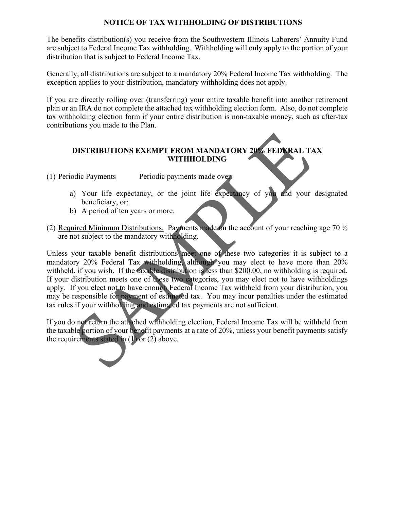#### **NOTICE OF TAX WITHHOLDING OF DISTRIBUTIONS**

The benefits distribution(s) you receive from the Southwestern Illinois Laborers' Annuity Fund are subject to Federal Income Tax withholding. Withholding will only apply to the portion of your distribution that is subject to Federal Income Tax.

Generally, all distributions are subject to a mandatory 20% Federal Income Tax withholding. The exception applies to your distribution, mandatory withholding does not apply.

If you are directly rolling over (transferring) your entire taxable benefit into another retirement plan or an IRA do not complete the attached tax withholding election form. Also, do not complete tax withholding election form if your entire distribution is non-taxable money, such as after-tax contributions you made to the Plan.

# **DISTRIBUTIONS EXEMPT FROM MANDATORY 20% FEDERAL TAX WITHHOLDING**

(1) Periodic Payments Periodic payments made over:

- a) Your life expectancy, or the joint life expectancy of you and your designated beneficiary, or;
- b) A period of ten years or more.
- (2) Required Minimum Distributions. Payments made on the account of your reaching age 70  $\frac{1}{2}$ are not subject to the mandatory withholding.

Unless your taxable benefit distributions meet one of these two categories it is subject to a mandatory 20% Federal Tax withholding, although you may elect to have more than 20% withheld, if you wish. If the taxable distribution is less than \$200.00, no withholding is required. If your distribution meets one of these two categories, you may elect not to have withholdings apply. If you elect not to have enough Federal Income Tax withheld from your distribution, you may be responsible for payment of estimated tax. You may incur penalties under the estimated tax rules if your withholding and estimated tax payments are not sufficient. DISTRIBUTIONS EXEMPT FROM MANDATORY 20% FEDERAL TWITHHOLDING<br>
Solic Payments Periodic payments made over<br>
(a) Your life expectancy, or the joint life expectancy of you and your<br>
beneficiary, or;<br>
(a) A period of ten years

If you do not return the attached withholding election, Federal Income Tax will be withheld from the taxable portion of your benefit payments at a rate of 20%, unless your benefit payments satisfy the requirements stated in  $(1)$  or  $(2)$  above.